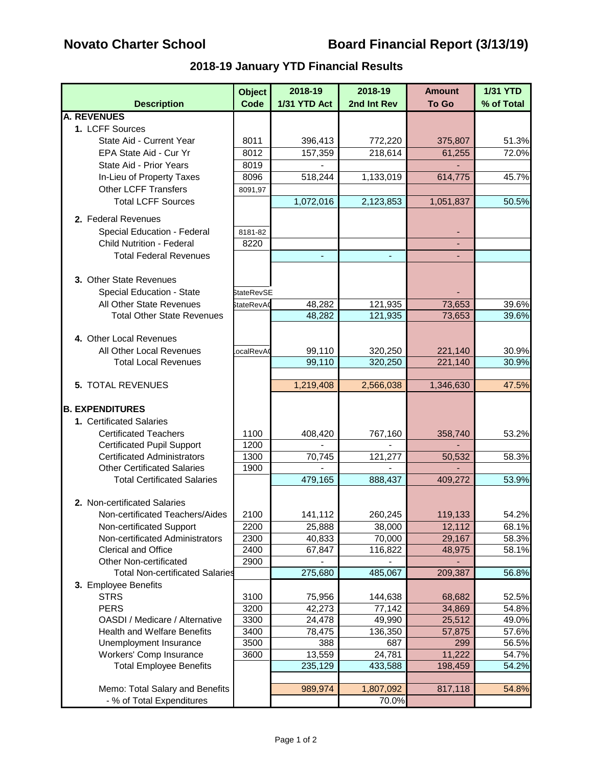# **Novato Charter School Board Financial Report (3/13/19)**

## **2018-19 January YTD Financial Results**

|                                                             | <b>Object</b>     | 2018-19          | 2018-19     | <b>Amount</b>    | <b>1/31 YTD</b> |
|-------------------------------------------------------------|-------------------|------------------|-------------|------------------|-----------------|
| <b>Description</b>                                          | Code              | 1/31 YTD Act     | 2nd Int Rev | <b>To Go</b>     | % of Total      |
| <b>A. REVENUES</b>                                          |                   |                  |             |                  |                 |
| 1. LCFF Sources                                             |                   |                  |             |                  |                 |
| State Aid - Current Year                                    | 8011              | 396,413          | 772,220     | 375,807          | 51.3%           |
| EPA State Aid - Cur Yr                                      | 8012              | 157,359          | 218,614     | 61,255           | 72.0%           |
| State Aid - Prior Years                                     | 8019              |                  |             |                  |                 |
| In-Lieu of Property Taxes                                   | 8096              | 518,244          | 1,133,019   | 614,775          | 45.7%           |
| <b>Other LCFF Transfers</b>                                 | 8091,97           |                  |             |                  |                 |
| <b>Total LCFF Sources</b>                                   |                   | 1,072,016        | 2,123,853   | 1,051,837        | 50.5%           |
| 2. Federal Revenues                                         |                   |                  |             |                  |                 |
| Special Education - Federal                                 | 8181-82           |                  |             |                  |                 |
| <b>Child Nutrition - Federal</b>                            | 8220              |                  |             |                  |                 |
| <b>Total Federal Revenues</b>                               |                   |                  |             |                  |                 |
|                                                             |                   |                  |             |                  |                 |
| 3. Other State Revenues                                     |                   |                  |             |                  |                 |
| Special Education - State                                   | <b>StateRevSE</b> |                  |             |                  |                 |
| All Other State Revenues                                    | StateRevA0        | 48,282           | 121,935     | 73,653           | 39.6%           |
| <b>Total Other State Revenues</b>                           |                   | 48,282           | 121,935     | 73,653           | 39.6%           |
|                                                             |                   |                  |             |                  |                 |
| 4. Other Local Revenues                                     |                   |                  |             |                  |                 |
| All Other Local Revenues                                    | ocalRevA          | 99,110           | 320,250     | 221,140          | 30.9%           |
| <b>Total Local Revenues</b>                                 |                   | 99,110           | 320,250     | 221,140          | 30.9%           |
|                                                             |                   |                  |             |                  |                 |
| 5. TOTAL REVENUES                                           |                   | 1,219,408        | 2,566,038   | 1,346,630        | 47.5%           |
|                                                             |                   |                  |             |                  |                 |
| <b>B. EXPENDITURES</b>                                      |                   |                  |             |                  |                 |
| 1. Certificated Salaries                                    |                   |                  |             |                  |                 |
| <b>Certificated Teachers</b>                                | 1100              | 408,420          | 767,160     | 358,740          | 53.2%           |
| <b>Certificated Pupil Support</b>                           | 1200              |                  |             |                  |                 |
| <b>Certificated Administrators</b>                          | 1300              | 70,745           | 121,277     | 50,532           | 58.3%           |
| <b>Other Certificated Salaries</b>                          | 1900              |                  |             |                  |                 |
| <b>Total Certificated Salaries</b>                          |                   | 479,165          | 888,437     | 409,272          | 53.9%           |
| 2. Non-certificated Salaries                                |                   |                  |             |                  |                 |
| Non-certificated Teachers/Aides                             | 2100              | 141,112          | 260,245     | 119,133          | 54.2%           |
|                                                             |                   |                  | 38,000      |                  |                 |
| Non-certificated Support<br>Non-certificated Administrators | 2200<br>2300      | 25,888<br>40,833 | 70,000      | 12,112<br>29,167 | 68.1%<br>58.3%  |
| Clerical and Office                                         | 2400              | 67,847           | 116,822     | 48,975           | 58.1%           |
| <b>Other Non-certificated</b>                               | 2900              |                  |             |                  |                 |
| <b>Total Non-certificated Salaries</b>                      |                   | 275,680          | 485,067     | 209,387          | 56.8%           |
| 3. Employee Benefits                                        |                   |                  |             |                  |                 |
| <b>STRS</b>                                                 | 3100              | 75,956           | 144,638     | 68,682           | 52.5%           |
| <b>PERS</b>                                                 | 3200              | 42,273           | 77,142      | 34,869           | 54.8%           |
| OASDI / Medicare / Alternative                              | 3300              | 24,478           | 49,990      | 25,512           | 49.0%           |
| <b>Health and Welfare Benefits</b>                          | 3400              | 78,475           | 136,350     | 57,875           | 57.6%           |
| Unemployment Insurance                                      | 3500              | 388              | 687         | 299              | 56.5%           |
| Workers' Comp Insurance                                     | 3600              | 13,559           | 24,781      | 11,222           | 54.7%           |
| <b>Total Employee Benefits</b>                              |                   | 235,129          | 433,588     | 198,459          | 54.2%           |
|                                                             |                   |                  |             |                  |                 |
| Memo: Total Salary and Benefits                             |                   | 989,974          | 1,807,092   | 817,118          | 54.8%           |
| - % of Total Expenditures                                   |                   |                  | 70.0%       |                  |                 |